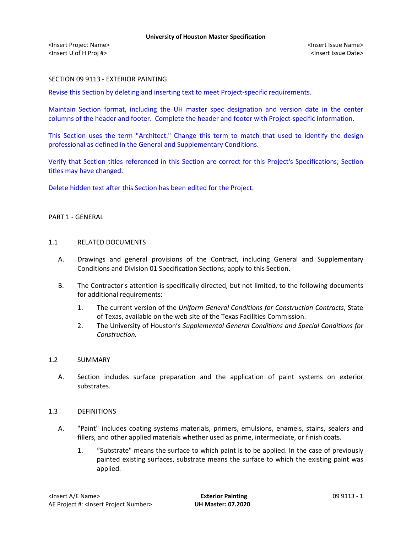## SECTION 09 9113 - EXTERIOR PAINTING

Revise this Section by deleting and inserting text to meet Project-specific requirements.

Maintain Section format, including the UH master spec designation and version date in the center columns of the header and footer. Complete the header and footer with Project-specific information.

This Section uses the term "Architect." Change this term to match that used to identify the design professional as defined in the General and Supplementary Conditions.

Verify that Section titles referenced in this Section are correct for this Project's Specifications; Section titles may have changed.

Delete hidden text after this Section has been edited for the Project.

#### PART 1 - GENERAL

#### 1.1 RELATED DOCUMENTS

- A. Drawings and general provisions of the Contract, including General and Supplementary Conditions and Division 01 Specification Sections, apply to this Section.
- B. The Contractor's attention is specifically directed, but not limited, to the following documents for additional requirements:
	- 1. The current version of the *Uniform General Conditions for Construction Contracts*, State of Texas, available on the web site of the Texas Facilities Commission.
	- 2. The University of Houston's *Supplemental General Conditions and Special Conditions for Construction.*

### 1.2 SUMMARY

A. Section includes surface preparation and the application of paint systems on exterior substrates.

## 1.3 DEFINITIONS

- A. "Paint" includes coating systems materials, primers, emulsions, enamels, stains, sealers and fillers, and other applied materials whether used as prime, intermediate, or finish coats.
	- 1. "Substrate" means the surface to which paint is to be applied. In the case of previously painted existing surfaces, substrate means the surface to which the existing paint was applied.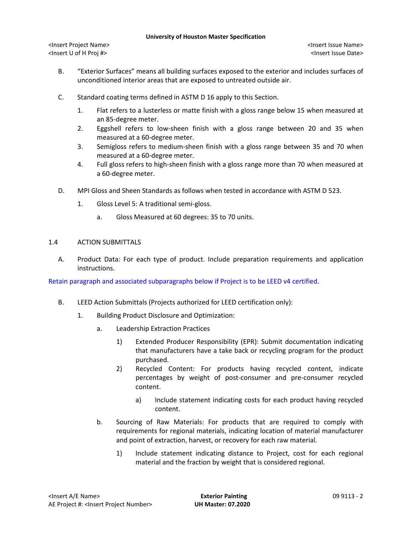<Insert Project Name> <Insert Issue Name> <Insert U of H Proj #> <Insert Issue Date>

- B. "Exterior Surfaces" means all building surfaces exposed to the exterior and includes surfaces of unconditioned interior areas that are exposed to untreated outside air.
- C. Standard coating terms defined in ASTM D 16 apply to this Section.
	- 1. Flat refers to a lusterless or matte finish with a gloss range below 15 when measured at an 85-degree meter.
	- 2. Eggshell refers to low-sheen finish with a gloss range between 20 and 35 when measured at a 60-degree meter.
	- 3. Semigloss refers to medium-sheen finish with a gloss range between 35 and 70 when measured at a 60-degree meter.
	- 4. Full gloss refers to high-sheen finish with a gloss range more than 70 when measured at a 60-degree meter.
- D. MPI Gloss and Sheen Standards as follows when tested in accordance with ASTM D 523.
	- 1. Gloss Level 5: A traditional semi-gloss.
		- a. Gloss Measured at 60 degrees: 35 to 70 units.

## 1.4 ACTION SUBMITTALS

A. Product Data: For each type of product. Include preparation requirements and application instructions.

Retain paragraph and associated subparagraphs below if Project is to be LEED v4 certified.

- B. LEED Action Submittals (Projects authorized for LEED certification only):
	- 1. Building Product Disclosure and Optimization:
		- a. Leadership Extraction Practices
			- 1) Extended Producer Responsibility (EPR): Submit documentation indicating that manufacturers have a take back or recycling program for the product purchased.
			- 2) Recycled Content: For products having recycled content, indicate percentages by weight of post-consumer and pre-consumer recycled content.
				- a) Include statement indicating costs for each product having recycled content.
		- b. Sourcing of Raw Materials: For products that are required to comply with requirements for regional materials, indicating location of material manufacturer and point of extraction, harvest, or recovery for each raw material.
			- 1) Include statement indicating distance to Project, cost for each regional material and the fraction by weight that is considered regional.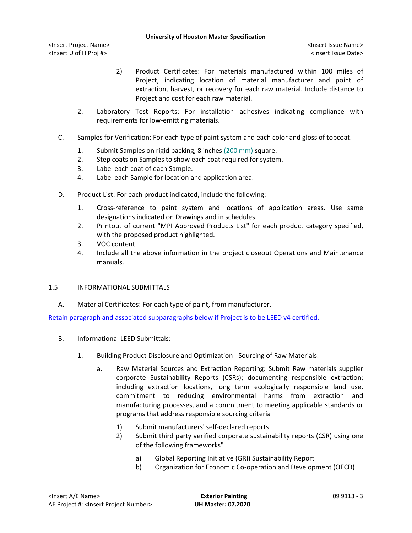- 2) Product Certificates: For materials manufactured within 100 miles of Project, indicating location of material manufacturer and point of extraction, harvest, or recovery for each raw material. Include distance to Project and cost for each raw material.
- 2. Laboratory Test Reports: For installation adhesives indicating compliance with requirements for low-emitting materials.
- C. Samples for Verification: For each type of paint system and each color and gloss of topcoat.
	- 1. Submit Samples on rigid backing, 8 inches (200 mm) square.
	- 2. Step coats on Samples to show each coat required for system.
	- 3. Label each coat of each Sample.
	- 4. Label each Sample for location and application area.
- D. Product List: For each product indicated, include the following:
	- 1. Cross-reference to paint system and locations of application areas. Use same designations indicated on Drawings and in schedules.
	- 2. Printout of current "MPI Approved Products List" for each product category specified, with the proposed product highlighted.
	- 3. VOC content.
	- 4. Include all the above information in the project closeout Operations and Maintenance manuals.
- 1.5 INFORMATIONAL SUBMITTALS
	- A. Material Certificates: For each type of paint, from manufacturer.

Retain paragraph and associated subparagraphs below if Project is to be LEED v4 certified.

- B. Informational LEED Submittals:
	- 1. Building Product Disclosure and Optimization Sourcing of Raw Materials:
		- a. Raw Material Sources and Extraction Reporting: Submit Raw materials supplier corporate Sustainability Reports (CSRs); documenting responsible extraction; including extraction locations, long term ecologically responsible land use, commitment to reducing environmental harms from extraction and manufacturing processes, and a commitment to meeting applicable standards or programs that address responsible sourcing criteria
			- 1) Submit manufacturers' self-declared reports
			- 2) Submit third party verified corporate sustainability reports (CSR) using one of the following frameworks"
				- a) Global Reporting Initiative (GRI) Sustainability Report
				- b) Organization for Economic Co-operation and Development (OECD)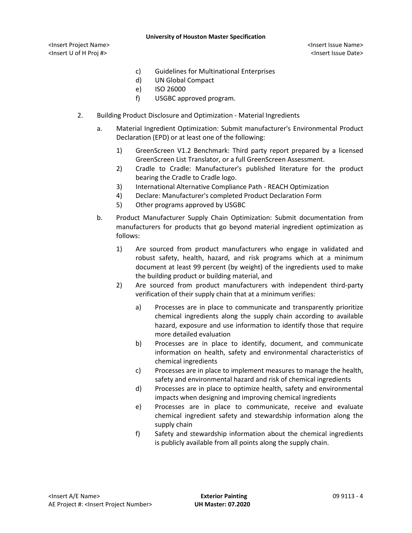<Insert Project Name> <Insert Issue Name> <Insert U of H Proj #> <Insert Issue Date>

- c) Guidelines for Multinational Enterprises
- d) UN Global Compact
- e) ISO 26000
- f) USGBC approved program.
- 2. Building Product Disclosure and Optimization Material Ingredients
	- a. Material Ingredient Optimization: Submit manufacturer's Environmental Product Declaration (EPD) or at least one of the following:
		- 1) GreenScreen V1.2 Benchmark: Third party report prepared by a licensed GreenScreen List Translator, or a full GreenScreen Assessment.
		- 2) Cradle to Cradle: Manufacturer's published literature for the product bearing the Cradle to Cradle logo.
		- 3) International Alternative Compliance Path REACH Optimization
		- 4) Declare: Manufacturer's completed Product Declaration Form
		- 5) Other programs approved by USGBC
	- b. Product Manufacturer Supply Chain Optimization: Submit documentation from manufacturers for products that go beyond material ingredient optimization as follows:
		- 1) Are sourced from product manufacturers who engage in validated and robust safety, health, hazard, and risk programs which at a minimum document at least 99 percent (by weight) of the ingredients used to make the building product or building material, and
		- 2) Are sourced from product manufacturers with independent third-party verification of their supply chain that at a minimum verifies:
			- a) Processes are in place to communicate and transparently prioritize chemical ingredients along the supply chain according to available hazard, exposure and use information to identify those that require more detailed evaluation
			- b) Processes are in place to identify, document, and communicate information on health, safety and environmental characteristics of chemical ingredients
			- c) Processes are in place to implement measures to manage the health, safety and environmental hazard and risk of chemical ingredients
			- d) Processes are in place to optimize health, safety and environmental impacts when designing and improving chemical ingredients
			- e) Processes are in place to communicate, receive and evaluate chemical ingredient safety and stewardship information along the supply chain
			- f) Safety and stewardship information about the chemical ingredients is publicly available from all points along the supply chain.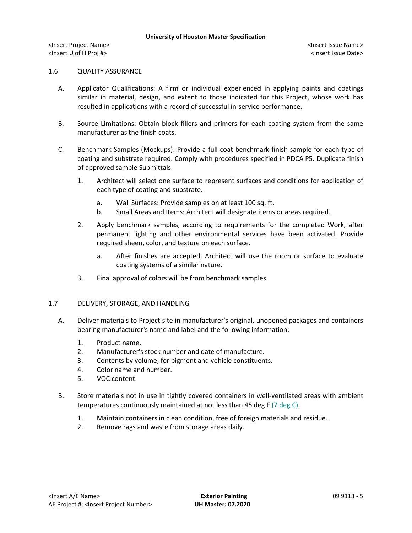#### 1.6 QUALITY ASSURANCE

- A. Applicator Qualifications: A firm or individual experienced in applying paints and coatings similar in material, design, and extent to those indicated for this Project, whose work has resulted in applications with a record of successful in-service performance.
- B. Source Limitations: Obtain block fillers and primers for each coating system from the same manufacturer as the finish coats.
- C. Benchmark Samples (Mockups): Provide a full-coat benchmark finish sample for each type of coating and substrate required. Comply with procedures specified in PDCA P5. Duplicate finish of approved sample Submittals.
	- 1. Architect will select one surface to represent surfaces and conditions for application of each type of coating and substrate.
		- a. Wall Surfaces: Provide samples on at least 100 sq. ft.
		- b. Small Areas and Items: Architect will designate items or areas required.
	- 2. Apply benchmark samples, according to requirements for the completed Work, after permanent lighting and other environmental services have been activated. Provide required sheen, color, and texture on each surface.
		- a. After finishes are accepted, Architect will use the room or surface to evaluate coating systems of a similar nature.
	- 3. Final approval of colors will be from benchmark samples.

### 1.7 DELIVERY, STORAGE, AND HANDLING

- A. Deliver materials to Project site in manufacturer's original, unopened packages and containers bearing manufacturer's name and label and the following information:
	- 1. Product name.
	- 2. Manufacturer's stock number and date of manufacture.
	- 3. Contents by volume, for pigment and vehicle constituents.
	- 4. Color name and number.
	- 5. VOC content.
- B. Store materials not in use in tightly covered containers in well-ventilated areas with ambient temperatures continuously maintained at not less than 45 deg F (7 deg C).
	- 1. Maintain containers in clean condition, free of foreign materials and residue.
	- 2. Remove rags and waste from storage areas daily.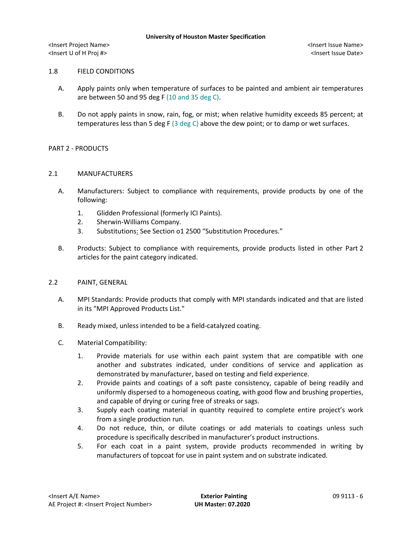## 1.8 FIELD CONDITIONS

- A. Apply paints only when temperature of surfaces to be painted and ambient air temperatures are between 50 and 95 deg F (10 and 35 deg C).
- B. Do not apply paints in snow, rain, fog, or mist; when relative humidity exceeds 85 percent; at temperatures less than 5 deg F (3 deg C) above the dew point; or to damp or wet surfaces.

## PART 2 - PRODUCTS

### 2.1 MANUFACTURERS

- A. [Manufacturers:](http://www.specagent.com/LookUp/?ulid=543&mf=04&src=wd) Subject to compliance with requirements, provide products by one of the following:
	- 1. Glidden Professional (formerly ICI Paints).
	- 2. Sherwin-Williams Company.
	- 3. Substitutions: See Section o1 2500 "Substitution Procedures."
- B. Products: Subject to compliance with requirements, provide products listed in other Part 2 articles for the paint category indicated.

# 2.2 PAINT, GENERAL

- A. MPI Standards: Provide products that comply with MPI standards indicated and that are listed in its "MPI Approved Products List."
- B. Ready mixed, unless intended to be a field-catalyzed coating.
- C. Material Compatibility:
	- 1. Provide materials for use within each paint system that are compatible with one another and substrates indicated, under conditions of service and application as demonstrated by manufacturer, based on testing and field experience.
	- 2. Provide paints and coatings of a soft paste consistency, capable of being readily and uniformly dispersed to a homogeneous coating, with good flow and brushing properties, and capable of drying or curing free of streaks or sags.
	- 3. Supply each coating material in quantity required to complete entire project's work from a single production run.
	- 4. Do not reduce, thin, or dilute coatings or add materials to coatings unless such procedure is specifically described in manufacturer's product instructions.
	- 5. For each coat in a paint system, provide products recommended in writing by manufacturers of topcoat for use in paint system and on substrate indicated.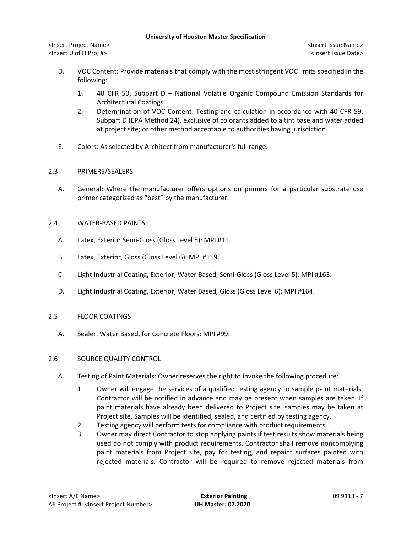<Insert Project Name> <Insert Issue Name> <Insert U of H Proj #> <Insert Issue Date>

- D. VOC Content: Provide materials that comply with the most stringent VOC limits specified in the following:
	- 1. 40 CFR 50, Subpart D National Volatile Organic Compound Emission Standards for Architectural Coatings.
	- 2. Determination of VOC Content: Testing and calculation in accordance with 40 CFR 59, Subpart D (EPA Method 24), exclusive of colorants added to a tint base and water added at project site; or other method acceptable to authorities having jurisdiction.
- E. Colors: As selected by Architect from manufacturer's full range.

## 2.3 PRIMERS/SEALERS

A. General: Where the manufacturer offers options on primers for a particular substrate use primer categorized as "best" by the manufacturer.

## 2.4 WATER-BASED PAINTS

- A. Latex, Exterior Semi-Gloss (Gloss Level 5): MPI #11.
- B. Latex, Exterior, Gloss (Gloss Level 6): MPI #119.
- C. Light Industrial Coating, Exterior, Water Based, Semi-Gloss (Gloss Level 5): MPI #163.
- D. Light Industrial Coating, Exterior, Water Based, Gloss (Gloss Level 6): MPI #164.

# 2.5 FLOOR COATINGS

A. Sealer, Water Based, for Concrete Floors: MPI #99.

# 2.6 SOURCE QUALITY CONTROL

- A. Testing of Paint Materials: Owner reserves the right to invoke the following procedure:
	- 1. Owner will engage the services of a qualified testing agency to sample paint materials. Contractor will be notified in advance and may be present when samples are taken. If paint materials have already been delivered to Project site, samples may be taken at Project site. Samples will be identified, sealed, and certified by testing agency.
	- 2. Testing agency will perform tests for compliance with product requirements.
	- 3. Owner may direct Contractor to stop applying paints if test results show materials being used do not comply with product requirements. Contractor shall remove noncomplying paint materials from Project site, pay for testing, and repaint surfaces painted with rejected materials. Contractor will be required to remove rejected materials from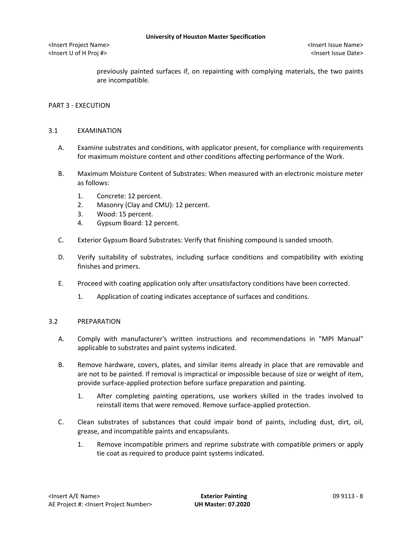<Insert U of H Proj #> <Insert Issue Date>

previously painted surfaces if, on repainting with complying materials, the two paints are incompatible.

## PART 3 - EXECUTION

## 3.1 EXAMINATION

- A. Examine substrates and conditions, with applicator present, for compliance with requirements for maximum moisture content and other conditions affecting performance of the Work.
- B. Maximum Moisture Content of Substrates: When measured with an electronic moisture meter as follows:
	- 1. Concrete: 12 percent.
	- 2. Masonry (Clay and CMU): 12 percent.
	- 3. Wood: 15 percent.
	- 4. Gypsum Board: 12 percent.
- C. Exterior Gypsum Board Substrates: Verify that finishing compound is sanded smooth.
- D. Verify suitability of substrates, including surface conditions and compatibility with existing finishes and primers.
- E. Proceed with coating application only after unsatisfactory conditions have been corrected.
	- 1. Application of coating indicates acceptance of surfaces and conditions.

### 3.2 PREPARATION

- A. Comply with manufacturer's written instructions and recommendations in "MPI Manual" applicable to substrates and paint systems indicated.
- B. Remove hardware, covers, plates, and similar items already in place that are removable and are not to be painted. If removal is impractical or impossible because of size or weight of item, provide surface-applied protection before surface preparation and painting.
	- 1. After completing painting operations, use workers skilled in the trades involved to reinstall items that were removed. Remove surface-applied protection.
- C. Clean substrates of substances that could impair bond of paints, including dust, dirt, oil, grease, and incompatible paints and encapsulants.
	- 1. Remove incompatible primers and reprime substrate with compatible primers or apply tie coat as required to produce paint systems indicated.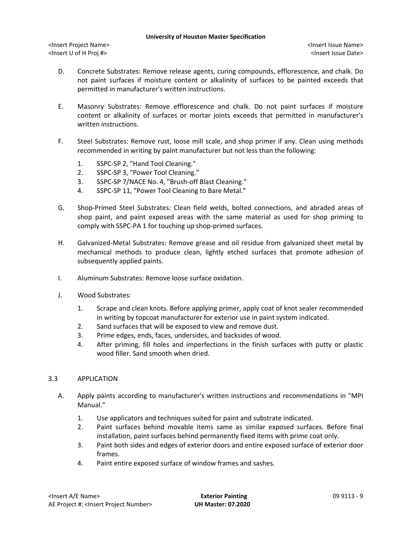- D. Concrete Substrates: Remove release agents, curing compounds, efflorescence, and chalk. Do not paint surfaces if moisture content or alkalinity of surfaces to be painted exceeds that permitted in manufacturer's written instructions.
- E. Masonry Substrates: Remove efflorescence and chalk. Do not paint surfaces if moisture content or alkalinity of surfaces or mortar joints exceeds that permitted in manufacturer's written instructions.
- F. Steel Substrates: Remove rust, loose mill scale, and shop primer if any. Clean using methods recommended in writing by paint manufacturer but not less than the following:
	- 1. SSPC-SP 2, "Hand Tool Cleaning."
	- 2. SSPC-SP 3, "Power Tool Cleaning."
	- 3. SSPC-SP 7/NACE No. 4, "Brush-off Blast Cleaning."
	- 4. SSPC-SP 11, "Power Tool Cleaning to Bare Metal."
- G. Shop-Primed Steel Substrates: Clean field welds, bolted connections, and abraded areas of shop paint, and paint exposed areas with the same material as used for shop priming to comply with SSPC-PA 1 for touching up shop-primed surfaces.
- H. Galvanized-Metal Substrates: Remove grease and oil residue from galvanized sheet metal by mechanical methods to produce clean, lightly etched surfaces that promote adhesion of subsequently applied paints.
- I. Aluminum Substrates: Remove loose surface oxidation.
- J. Wood Substrates:
	- 1. Scrape and clean knots. Before applying primer, apply coat of knot sealer recommended in writing by topcoat manufacturer for exterior use in paint system indicated.
	- 2. Sand surfaces that will be exposed to view and remove dust.
	- 3. Prime edges, ends, faces, undersides, and backsides of wood.
	- 4. After priming, fill holes and imperfections in the finish surfaces with putty or plastic wood filler. Sand smooth when dried.

# 3.3 APPLICATION

- A. Apply paints according to manufacturer's written instructions and recommendations in "MPI Manual."
	- 1. Use applicators and techniques suited for paint and substrate indicated.
	- 2. Paint surfaces behind movable items same as similar exposed surfaces. Before final installation, paint surfaces behind permanently fixed items with prime coat only.
	- 3. Paint both sides and edges of exterior doors and entire exposed surface of exterior door frames.
	- 4. Paint entire exposed surface of window frames and sashes.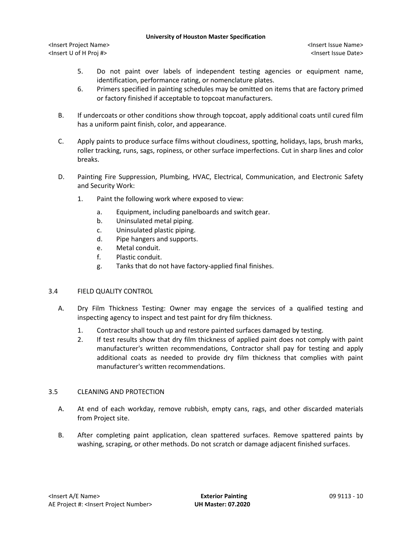<Insert Project Name> <Insert Issue Name> <Insert U of H Proj #> <Insert Issue Date>

- 5. Do not paint over labels of independent testing agencies or equipment name, identification, performance rating, or nomenclature plates.
- 6. Primers specified in painting schedules may be omitted on items that are factory primed or factory finished if acceptable to topcoat manufacturers.
- B. If undercoats or other conditions show through topcoat, apply additional coats until cured film has a uniform paint finish, color, and appearance.
- C. Apply paints to produce surface films without cloudiness, spotting, holidays, laps, brush marks, roller tracking, runs, sags, ropiness, or other surface imperfections. Cut in sharp lines and color breaks.
- D. Painting Fire Suppression, Plumbing, HVAC, Electrical, Communication, and Electronic Safety and Security Work:
	- 1. Paint the following work where exposed to view:
		- a. Equipment, including panelboards and switch gear.
		- b. Uninsulated metal piping.
		- c. Uninsulated plastic piping.
		- d. Pipe hangers and supports.
		- e. Metal conduit.
		- f. Plastic conduit.
		- g. Tanks that do not have factory-applied final finishes.

# 3.4 FIELD QUALITY CONTROL

- A. Dry Film Thickness Testing: Owner may engage the services of a qualified testing and inspecting agency to inspect and test paint for dry film thickness.
	- 1. Contractor shall touch up and restore painted surfaces damaged by testing.
	- 2. If test results show that dry film thickness of applied paint does not comply with paint manufacturer's written recommendations, Contractor shall pay for testing and apply additional coats as needed to provide dry film thickness that complies with paint manufacturer's written recommendations.

# 3.5 CLEANING AND PROTECTION

- A. At end of each workday, remove rubbish, empty cans, rags, and other discarded materials from Project site.
- B. After completing paint application, clean spattered surfaces. Remove spattered paints by washing, scraping, or other methods. Do not scratch or damage adjacent finished surfaces.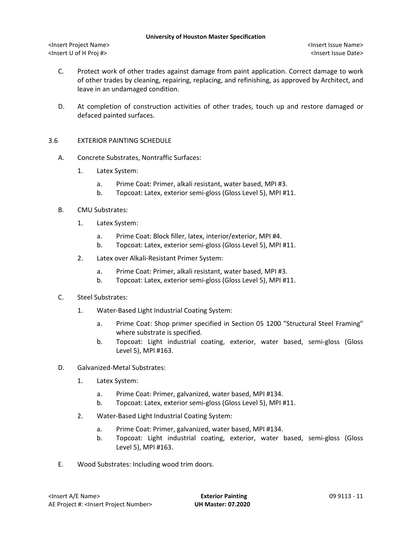<Insert Project Name> <Insert Issue Name> <Insert U of H Proj #> <Insert Issue Date>

- C. Protect work of other trades against damage from paint application. Correct damage to work of other trades by cleaning, repairing, replacing, and refinishing, as approved by Architect, and leave in an undamaged condition.
- D. At completion of construction activities of other trades, touch up and restore damaged or defaced painted surfaces.
- 3.6 EXTERIOR PAINTING SCHEDULE
	- A. Concrete Substrates, Nontraffic Surfaces:
		- 1. Latex System:
			- a. Prime Coat: Primer, alkali resistant, water based, MPI #3.
			- b. Topcoat: Latex, exterior semi-gloss (Gloss Level 5), MPI #11.
	- B. CMU Substrates:
		- 1. Latex System:
			- a. Prime Coat: Block filler, latex, interior/exterior, MPI #4.
			- b. Topcoat: Latex, exterior semi-gloss (Gloss Level 5), MPI #11.
		- 2. Latex over Alkali-Resistant Primer System:
			- a. Prime Coat: Primer, alkali resistant, water based, MPI #3.
			- b. Topcoat: Latex, exterior semi-gloss (Gloss Level 5), MPI #11.
	- C. Steel Substrates:
		- 1. Water-Based Light Industrial Coating System:
			- a. Prime Coat: Shop primer specified in Section 05 1200 "Structural Steel Framing" where substrate is specified.
			- b. Topcoat: Light industrial coating, exterior, water based, semi-gloss (Gloss Level 5), MPI #163.
	- D. Galvanized-Metal Substrates:
		- 1. Latex System:
			- a. Prime Coat: Primer, galvanized, water based, MPI #134.
			- b. Topcoat: Latex, exterior semi-gloss (Gloss Level 5), MPI #11.
		- 2. Water-Based Light Industrial Coating System:
			- a. Prime Coat: Primer, galvanized, water based, MPI #134.
			- b. Topcoat: Light industrial coating, exterior, water based, semi-gloss (Gloss Level 5), MPI #163.
	- E. Wood Substrates: Including wood trim doors.